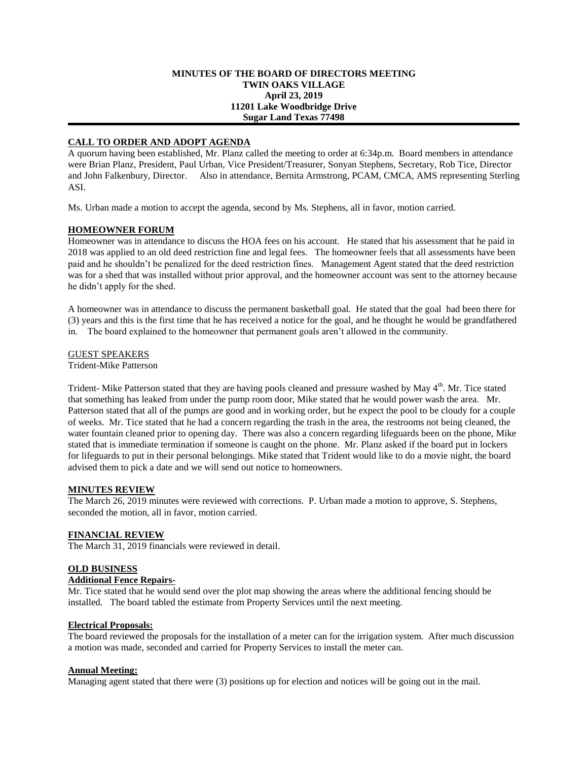### **MINUTES OF THE BOARD OF DIRECTORS MEETING TWIN OAKS VILLAGE April 23, 2019 11201 Lake Woodbridge Drive Sugar Land Texas 77498**

# **CALL TO ORDER AND ADOPT AGENDA**

A quorum having been established, Mr. Planz called the meeting to order at 6:34p.m. Board members in attendance were Brian Planz, President, Paul Urban, Vice President/Treasurer, Sonyan Stephens, Secretary, Rob Tice, Director and John Falkenbury, Director. Also in attendance, Bernita Armstrong, PCAM, CMCA, AMS representing Sterling ASI.

Ms. Urban made a motion to accept the agenda, second by Ms. Stephens, all in favor, motion carried.

# **HOMEOWNER FORUM**

Homeowner was in attendance to discuss the HOA fees on his account. He stated that his assessment that he paid in 2018 was applied to an old deed restriction fine and legal fees. The homeowner feels that all assessments have been paid and he shouldn't be penalized for the deed restriction fines. Management Agent stated that the deed restriction was for a shed that was installed without prior approval, and the homeowner account was sent to the attorney because he didn't apply for the shed.

A homeowner was in attendance to discuss the permanent basketball goal. He stated that the goal had been there for (3) years and this is the first time that he has received a notice for the goal, and he thought he would be grandfathered in. The board explained to the homeowner that permanent goals aren't allowed in the community.

# GUEST SPEAKERS

Trident-Mike Patterson

Trident- Mike Patterson stated that they are having pools cleaned and pressure washed by May 4<sup>th</sup>. Mr. Tice stated that something has leaked from under the pump room door, Mike stated that he would power wash the area. Mr. Patterson stated that all of the pumps are good and in working order, but he expect the pool to be cloudy for a couple of weeks. Mr. Tice stated that he had a concern regarding the trash in the area, the restrooms not being cleaned, the water fountain cleaned prior to opening day. There was also a concern regarding lifeguards been on the phone, Mike stated that is immediate termination if someone is caught on the phone. Mr. Planz asked if the board put in lockers for lifeguards to put in their personal belongings. Mike stated that Trident would like to do a movie night, the board advised them to pick a date and we will send out notice to homeowners.

# **MINUTES REVIEW**

The March 26, 2019 minutes were reviewed with corrections. P. Urban made a motion to approve, S. Stephens, seconded the motion, all in favor, motion carried.

# **FINANCIAL REVIEW**

The March 31, 2019 financials were reviewed in detail.

# **OLD BUSINESS**

# **Additional Fence Repairs-**

Mr. Tice stated that he would send over the plot map showing the areas where the additional fencing should be installed. The board tabled the estimate from Property Services until the next meeting.

### **Electrical Proposals:**

The board reviewed the proposals for the installation of a meter can for the irrigation system. After much discussion a motion was made, seconded and carried for Property Services to install the meter can.

### **Annual Meeting:**

Managing agent stated that there were (3) positions up for election and notices will be going out in the mail.